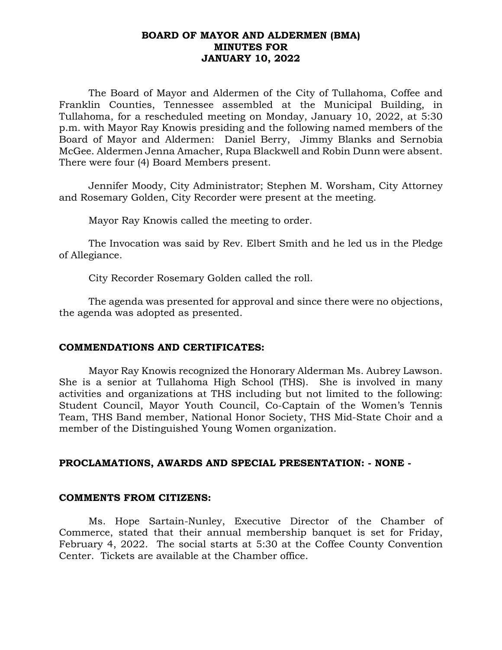# **BOARD OF MAYOR AND ALDERMEN (BMA) MINUTES FOR JANUARY 10, 2022**

The Board of Mayor and Aldermen of the City of Tullahoma, Coffee and Franklin Counties, Tennessee assembled at the Municipal Building, in Tullahoma, for a rescheduled meeting on Monday, January 10, 2022, at 5:30 p.m. with Mayor Ray Knowis presiding and the following named members of the Board of Mayor and Aldermen: Daniel Berry, Jimmy Blanks and Sernobia McGee. Aldermen Jenna Amacher, Rupa Blackwell and Robin Dunn were absent. There were four (4) Board Members present.

Jennifer Moody, City Administrator; Stephen M. Worsham, City Attorney and Rosemary Golden, City Recorder were present at the meeting.

Mayor Ray Knowis called the meeting to order.

The Invocation was said by Rev. Elbert Smith and he led us in the Pledge of Allegiance.

City Recorder Rosemary Golden called the roll.

The agenda was presented for approval and since there were no objections, the agenda was adopted as presented.

# **COMMENDATIONS AND CERTIFICATES:**

Mayor Ray Knowis recognized the Honorary Alderman Ms. Aubrey Lawson. She is a senior at Tullahoma High School (THS). She is involved in many activities and organizations at THS including but not limited to the following: Student Council, Mayor Youth Council, Co-Captain of the Women's Tennis Team, THS Band member, National Honor Society, THS Mid-State Choir and a member of the Distinguished Young Women organization.

## **PROCLAMATIONS, AWARDS AND SPECIAL PRESENTATION: - NONE -**

## **COMMENTS FROM CITIZENS:**

Ms. Hope Sartain-Nunley, Executive Director of the Chamber of Commerce, stated that their annual membership banquet is set for Friday, February 4, 2022. The social starts at 5:30 at the Coffee County Convention Center. Tickets are available at the Chamber office.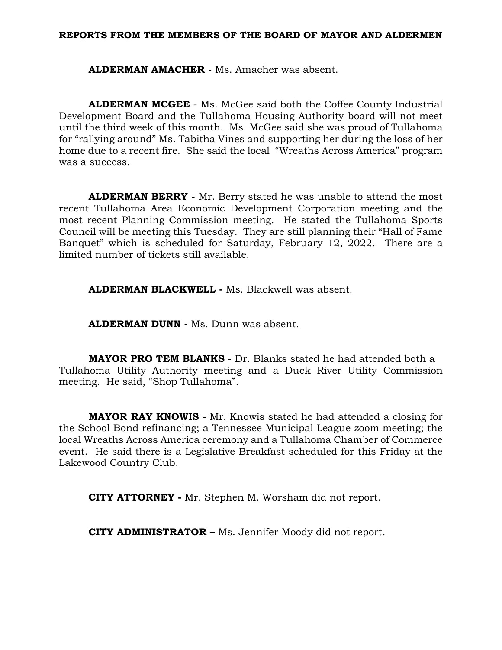#### **REPORTS FROM THE MEMBERS OF THE BOARD OF MAYOR AND ALDERMEN**

**ALDERMAN AMACHER -** Ms. Amacher was absent.

**ALDERMAN MCGEE** - Ms. McGee said both the Coffee County Industrial Development Board and the Tullahoma Housing Authority board will not meet until the third week of this month. Ms. McGee said she was proud of Tullahoma for "rallying around" Ms. Tabitha Vines and supporting her during the loss of her home due to a recent fire. She said the local "Wreaths Across America" program was a success.

**ALDERMAN BERRY** - Mr. Berry stated he was unable to attend the most recent Tullahoma Area Economic Development Corporation meeting and the most recent Planning Commission meeting. He stated the Tullahoma Sports Council will be meeting this Tuesday. They are still planning their "Hall of Fame Banquet" which is scheduled for Saturday, February 12, 2022. There are a limited number of tickets still available.

**ALDERMAN BLACKWELL -** Ms. Blackwell was absent.

**ALDERMAN DUNN -** Ms. Dunn was absent.

**MAYOR PRO TEM BLANKS -** Dr. Blanks stated he had attended both a Tullahoma Utility Authority meeting and a Duck River Utility Commission meeting. He said, "Shop Tullahoma".

**MAYOR RAY KNOWIS -** Mr. Knowis stated he had attended a closing for the School Bond refinancing; a Tennessee Municipal League zoom meeting; the local Wreaths Across America ceremony and a Tullahoma Chamber of Commerce event. He said there is a Legislative Breakfast scheduled for this Friday at the Lakewood Country Club.

**CITY ATTORNEY -** Mr. Stephen M. Worsham did not report.

**CITY ADMINISTRATOR –** Ms. Jennifer Moody did not report.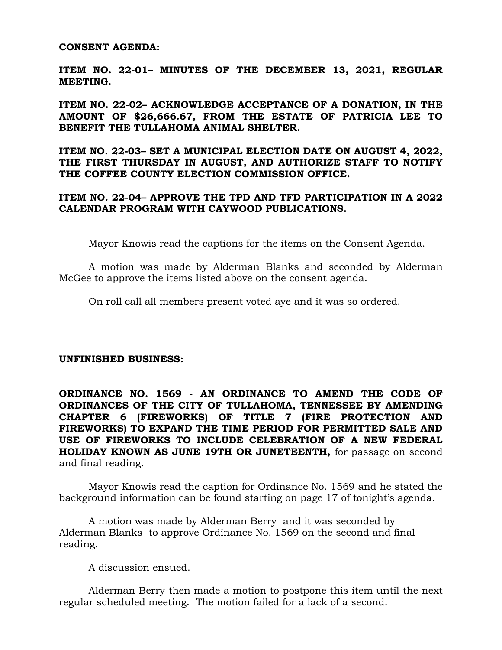#### **CONSENT AGENDA:**

**ITEM NO. 22-01– MINUTES OF THE DECEMBER 13, 2021, REGULAR MEETING.**

**ITEM NO. 22-02– ACKNOWLEDGE ACCEPTANCE OF A DONATION, IN THE AMOUNT OF \$26,666.67, FROM THE ESTATE OF PATRICIA LEE TO BENEFIT THE TULLAHOMA ANIMAL SHELTER.**

**ITEM NO. 22-03– SET A MUNICIPAL ELECTION DATE ON AUGUST 4, 2022, THE FIRST THURSDAY IN AUGUST, AND AUTHORIZE STAFF TO NOTIFY THE COFFEE COUNTY ELECTION COMMISSION OFFICE.**

# **ITEM NO. 22-04– APPROVE THE TPD AND TFD PARTICIPATION IN A 2022 CALENDAR PROGRAM WITH CAYWOOD PUBLICATIONS.**

Mayor Knowis read the captions for the items on the Consent Agenda.

A motion was made by Alderman Blanks and seconded by Alderman McGee to approve the items listed above on the consent agenda.

On roll call all members present voted aye and it was so ordered.

## **UNFINISHED BUSINESS:**

**ORDINANCE NO. 1569 - AN ORDINANCE TO AMEND THE CODE OF ORDINANCES OF THE CITY OF TULLAHOMA, TENNESSEE BY AMENDING CHAPTER 6 (FIREWORKS) OF TITLE 7 (FIRE PROTECTION AND FIREWORKS) TO EXPAND THE TIME PERIOD FOR PERMITTED SALE AND USE OF FIREWORKS TO INCLUDE CELEBRATION OF A NEW FEDERAL HOLIDAY KNOWN AS JUNE 19TH OR JUNETEENTH,** for passage on second and final reading.

Mayor Knowis read the caption for Ordinance No. 1569 and he stated the background information can be found starting on page 17 of tonight's agenda.

A motion was made by Alderman Berry and it was seconded by Alderman Blanks to approve Ordinance No. 1569 on the second and final reading.

A discussion ensued.

Alderman Berry then made a motion to postpone this item until the next regular scheduled meeting. The motion failed for a lack of a second.